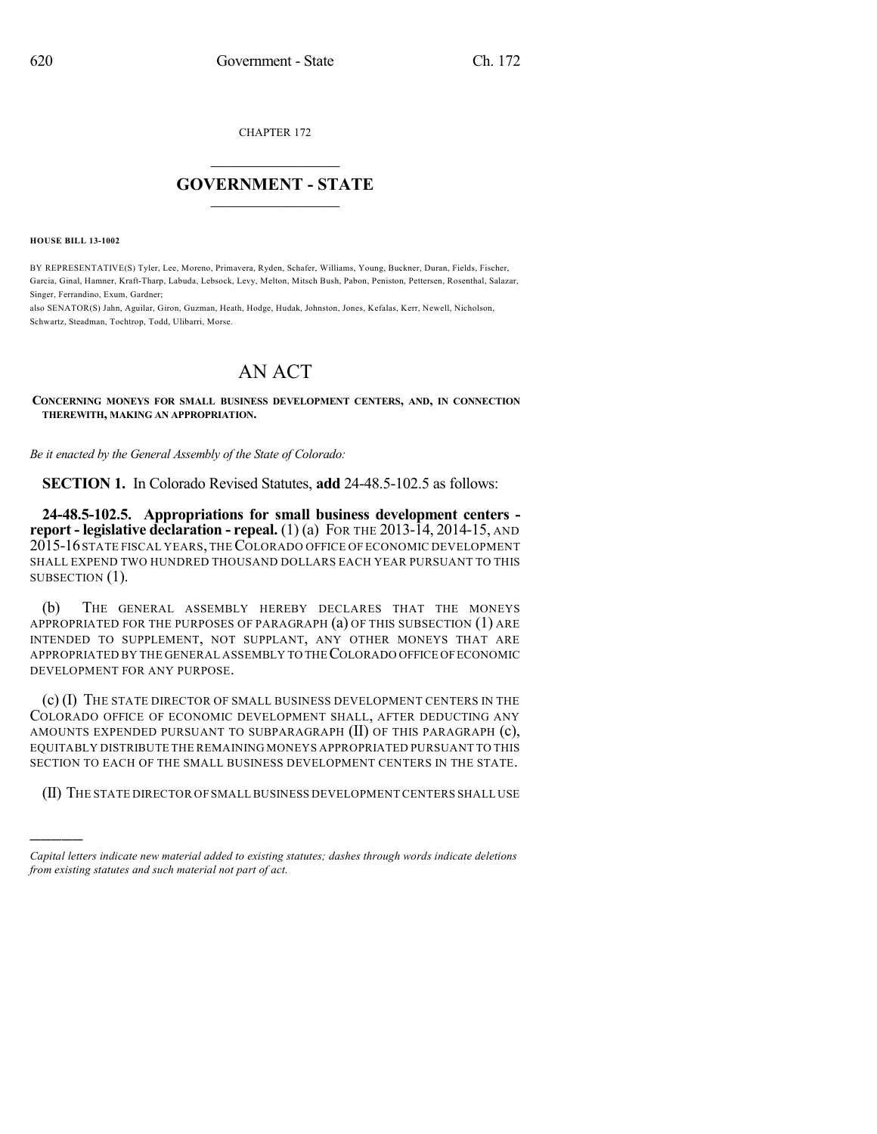CHAPTER 172

## $\overline{\phantom{a}}$  . The set of the set of the set of the set of the set of the set of the set of the set of the set of the set of the set of the set of the set of the set of the set of the set of the set of the set of the set o **GOVERNMENT - STATE**  $\_$

**HOUSE BILL 13-1002**

)))))

BY REPRESENTATIVE(S) Tyler, Lee, Moreno, Primavera, Ryden, Schafer, Williams, Young, Buckner, Duran, Fields, Fischer, Garcia, Ginal, Hamner, Kraft-Tharp, Labuda, Lebsock, Levy, Melton, Mitsch Bush, Pabon, Peniston, Pettersen, Rosenthal, Salazar, Singer, Ferrandino, Exum, Gardner;

also SENATOR(S) Jahn, Aguilar, Giron, Guzman, Heath, Hodge, Hudak, Johnston, Jones, Kefalas, Kerr, Newell, Nicholson, Schwartz, Steadman, Tochtrop, Todd, Ulibarri, Morse.

## AN ACT

**CONCERNING MONEYS FOR SMALL BUSINESS DEVELOPMENT CENTERS, AND, IN CONNECTION THEREWITH, MAKING AN APPROPRIATION.**

*Be it enacted by the General Assembly of the State of Colorado:*

**SECTION 1.** In Colorado Revised Statutes, **add** 24-48.5-102.5 as follows:

**24-48.5-102.5. Appropriations for small business development centers report - legislative declaration - repeal.** (1) (a) FOR THE 2013-14, 2014-15, AND 2015-16STATE FISCAL YEARS, THECOLORADO OFFICE OF ECONOMIC DEVELOPMENT SHALL EXPEND TWO HUNDRED THOUSAND DOLLARS EACH YEAR PURSUANT TO THIS SUBSECTION  $(1)$ .

(b) THE GENERAL ASSEMBLY HEREBY DECLARES THAT THE MONEYS APPROPRIATED FOR THE PURPOSES OF PARAGRAPH (a) OF THIS SUBSECTION (1) ARE INTENDED TO SUPPLEMENT, NOT SUPPLANT, ANY OTHER MONEYS THAT ARE APPROPRIATED BY THE GENERAL ASSEMBLY TO THECOLORADO OFFICE OFECONOMIC DEVELOPMENT FOR ANY PURPOSE.

(c) (I) THE STATE DIRECTOR OF SMALL BUSINESS DEVELOPMENT CENTERS IN THE COLORADO OFFICE OF ECONOMIC DEVELOPMENT SHALL, AFTER DEDUCTING ANY AMOUNTS EXPENDED PURSUANT TO SUBPARAGRAPH (II) OF THIS PARAGRAPH (c), EQUITABLY DISTRIBUTE THE REMAINING MONEYS APPROPRIATED PURSUANT TO THIS SECTION TO EACH OF THE SMALL BUSINESS DEVELOPMENT CENTERS IN THE STATE.

(II) THE STATE DIRECTOR OF SMALLBUSINESS DEVELOPMENT CENTERS SHALL USE

*Capital letters indicate new material added to existing statutes; dashes through words indicate deletions from existing statutes and such material not part of act.*